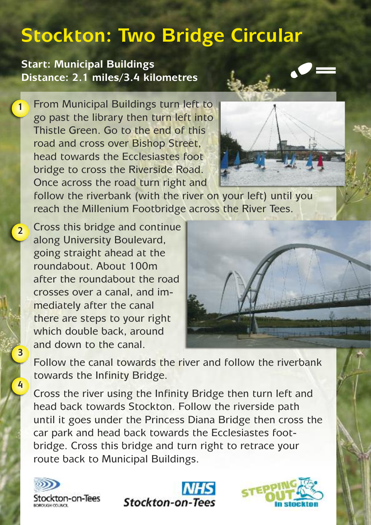## **Stockton: Two Bridge Circular**

**Start: Municipal Buildings Distance: 2.1 miles/3.4 kilometres**

**1**

**3**

**4**

From Municipal Buildings turn left to go past the library then turn left into Thistle Green. Go to the end of this road and cross over Bishop Street, head towards the Ecclesiastes foot bridge to cross the Riverside Road. Once across the road turn right and



follow the riverbank (with the river on your left) until you reach the Millenium Footbridge across the River Tees.

Cross this bridge and continue along University Boulevard, going straight ahead at the roundabout. About 100m after the roundabout the road crosses over a canal, and immediately after the canal there are steps to your right which double back, around and down to the canal. **2**



Follow the canal towards the river and follow the riverbank towards the Infinity Bridge.

Cross the river using the Infinity Bridge then turn left and head back towards Stockton. Follow the riverside path until it goes under the Princess Diana Bridge then cross the car park and head back towards the Ecclesiastes footbridge. Cross this bridge and turn right to retrace your route back to Municipal Buildings.